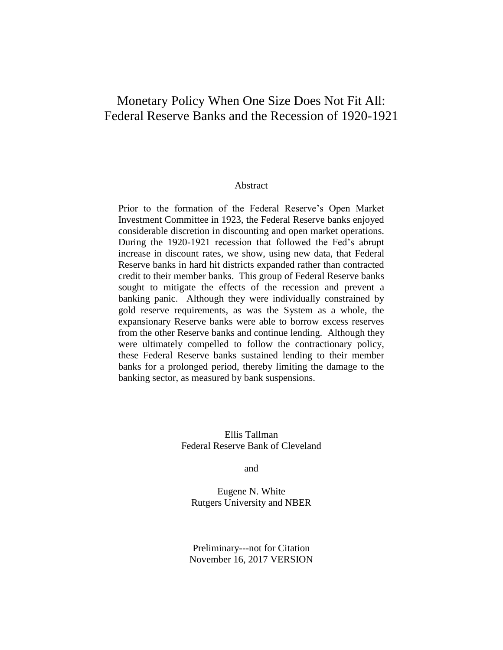# Monetary Policy When One Size Does Not Fit All: Federal Reserve Banks and the Recession of 1920-1921

#### Abstract

Prior to the formation of the Federal Reserve's Open Market Investment Committee in 1923, the Federal Reserve banks enjoyed considerable discretion in discounting and open market operations. During the 1920-1921 recession that followed the Fed's abrupt increase in discount rates, we show, using new data, that Federal Reserve banks in hard hit districts expanded rather than contracted credit to their member banks. This group of Federal Reserve banks sought to mitigate the effects of the recession and prevent a banking panic. Although they were individually constrained by gold reserve requirements, as was the System as a whole, the expansionary Reserve banks were able to borrow excess reserves from the other Reserve banks and continue lending. Although they were ultimately compelled to follow the contractionary policy, these Federal Reserve banks sustained lending to their member banks for a prolonged period, thereby limiting the damage to the banking sector, as measured by bank suspensions.

> Ellis Tallman Federal Reserve Bank of Cleveland

> > and

Eugene N. White Rutgers University and NBER

Preliminary---not for Citation November 16, 2017 VERSION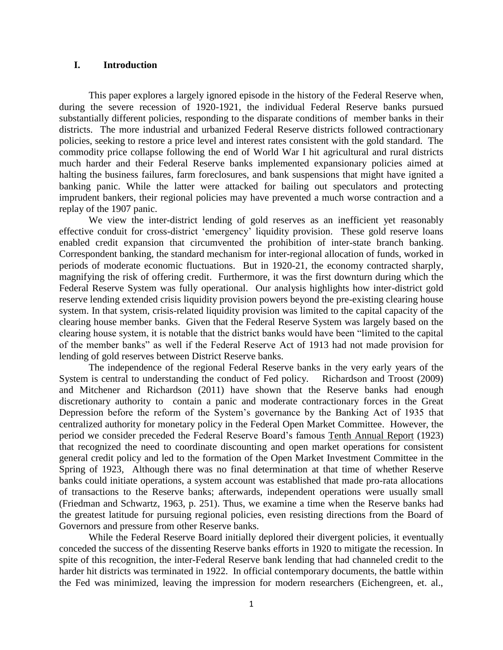### **I. Introduction**

This paper explores a largely ignored episode in the history of the Federal Reserve when, during the severe recession of 1920-1921, the individual Federal Reserve banks pursued substantially different policies, responding to the disparate conditions of member banks in their districts. The more industrial and urbanized Federal Reserve districts followed contractionary policies, seeking to restore a price level and interest rates consistent with the gold standard. The commodity price collapse following the end of World War I hit agricultural and rural districts much harder and their Federal Reserve banks implemented expansionary policies aimed at halting the business failures, farm foreclosures, and bank suspensions that might have ignited a banking panic. While the latter were attacked for bailing out speculators and protecting imprudent bankers, their regional policies may have prevented a much worse contraction and a replay of the 1907 panic.

We view the inter-district lending of gold reserves as an inefficient yet reasonably effective conduit for cross-district 'emergency' liquidity provision. These gold reserve loans enabled credit expansion that circumvented the prohibition of inter-state branch banking. Correspondent banking, the standard mechanism for inter-regional allocation of funds, worked in periods of moderate economic fluctuations. But in 1920-21, the economy contracted sharply, magnifying the risk of offering credit. Furthermore, it was the first downturn during which the Federal Reserve System was fully operational. Our analysis highlights how inter-district gold reserve lending extended crisis liquidity provision powers beyond the pre-existing clearing house system. In that system, crisis-related liquidity provision was limited to the capital capacity of the clearing house member banks. Given that the Federal Reserve System was largely based on the clearing house system, it is notable that the district banks would have been "limited to the capital of the member banks" as well if the Federal Reserve Act of 1913 had not made provision for lending of gold reserves between District Reserve banks.

The independence of the regional Federal Reserve banks in the very early years of the System is central to understanding the conduct of Fed policy. Richardson and Troost (2009) and Mitchener and Richardson (2011) have shown that the Reserve banks had enough discretionary authority to contain a panic and moderate contractionary forces in the Great Depression before the reform of the System's governance by the Banking Act of 1935 that centralized authority for monetary policy in the Federal Open Market Committee. However, the period we consider preceded the Federal Reserve Board's famous Tenth Annual Report (1923) that recognized the need to coordinate discounting and open market operations for consistent general credit policy and led to the formation of the Open Market Investment Committee in the Spring of 1923, Although there was no final determination at that time of whether Reserve banks could initiate operations, a system account was established that made pro-rata allocations of transactions to the Reserve banks; afterwards, independent operations were usually small (Friedman and Schwartz, 1963, p. 251). Thus, we examine a time when the Reserve banks had the greatest latitude for pursuing regional policies, even resisting directions from the Board of Governors and pressure from other Reserve banks.

While the Federal Reserve Board initially deplored their divergent policies, it eventually conceded the success of the dissenting Reserve banks efforts in 1920 to mitigate the recession. In spite of this recognition, the inter-Federal Reserve bank lending that had channeled credit to the harder hit districts was terminated in 1922. In official contemporary documents, the battle within the Fed was minimized, leaving the impression for modern researchers (Eichengreen, et. al.,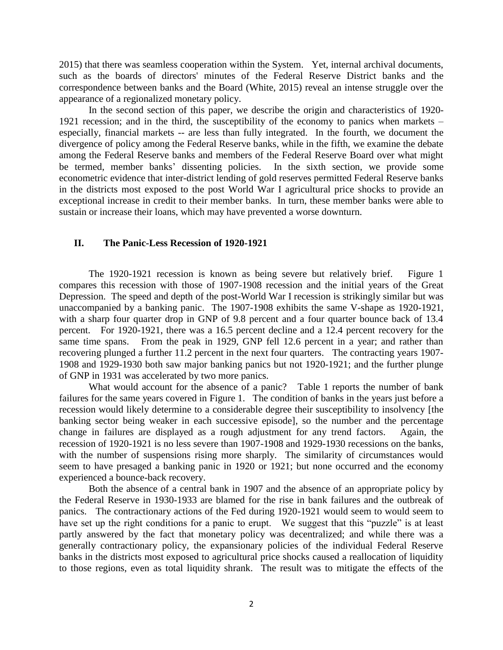2015) that there was seamless cooperation within the System. Yet, internal archival documents, such as the boards of directors' minutes of the Federal Reserve District banks and the correspondence between banks and the Board (White, 2015) reveal an intense struggle over the appearance of a regionalized monetary policy.

In the second section of this paper, we describe the origin and characteristics of 1920- 1921 recession; and in the third, the susceptibility of the economy to panics when markets – especially, financial markets -- are less than fully integrated. In the fourth, we document the divergence of policy among the Federal Reserve banks, while in the fifth, we examine the debate among the Federal Reserve banks and members of the Federal Reserve Board over what might be termed, member banks' dissenting policies. In the sixth section, we provide some econometric evidence that inter-district lending of gold reserves permitted Federal Reserve banks in the districts most exposed to the post World War I agricultural price shocks to provide an exceptional increase in credit to their member banks. In turn, these member banks were able to sustain or increase their loans, which may have prevented a worse downturn.

#### **II. The Panic-Less Recession of 1920-1921**

The 1920-1921 recession is known as being severe but relatively brief. Figure 1 compares this recession with those of 1907-1908 recession and the initial years of the Great Depression. The speed and depth of the post-World War I recession is strikingly similar but was unaccompanied by a banking panic. The 1907-1908 exhibits the same V-shape as 1920-1921, with a sharp four quarter drop in GNP of 9.8 percent and a four quarter bounce back of 13.4 percent. For 1920-1921, there was a 16.5 percent decline and a 12.4 percent recovery for the same time spans. From the peak in 1929, GNP fell 12.6 percent in a year; and rather than recovering plunged a further 11.2 percent in the next four quarters. The contracting years 1907- 1908 and 1929-1930 both saw major banking panics but not 1920-1921; and the further plunge of GNP in 1931 was accelerated by two more panics.

What would account for the absence of a panic? Table 1 reports the number of bank failures for the same years covered in Figure 1. The condition of banks in the years just before a recession would likely determine to a considerable degree their susceptibility to insolvency [the banking sector being weaker in each successive episode], so the number and the percentage change in failures are displayed as a rough adjustment for any trend factors. Again, the recession of 1920-1921 is no less severe than 1907-1908 and 1929-1930 recessions on the banks, with the number of suspensions rising more sharply. The similarity of circumstances would seem to have presaged a banking panic in 1920 or 1921; but none occurred and the economy experienced a bounce-back recovery.

Both the absence of a central bank in 1907 and the absence of an appropriate policy by the Federal Reserve in 1930-1933 are blamed for the rise in bank failures and the outbreak of panics. The contractionary actions of the Fed during 1920-1921 would seem to would seem to have set up the right conditions for a panic to erupt. We suggest that this "puzzle" is at least partly answered by the fact that monetary policy was decentralized; and while there was a generally contractionary policy, the expansionary policies of the individual Federal Reserve banks in the districts most exposed to agricultural price shocks caused a reallocation of liquidity to those regions, even as total liquidity shrank. The result was to mitigate the effects of the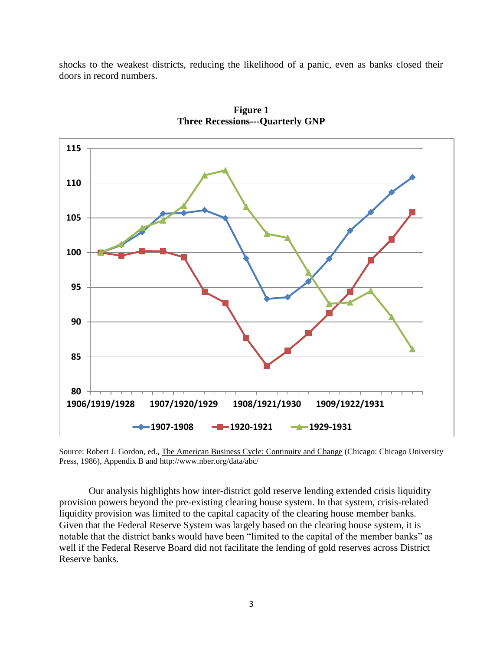shocks to the weakest districts, reducing the likelihood of a panic, even as banks closed their doors in record numbers.



**Figure 1 Three Recessions---Quarterly GNP**

Source: Robert J. Gordon, ed., The American Business Cycle: Continuity and Change (Chicago: Chicago University Press, 1986), Appendix B and http://www.nber.org/data/abc/

Our analysis highlights how inter-district gold reserve lending extended crisis liquidity provision powers beyond the pre-existing clearing house system. In that system, crisis-related liquidity provision was limited to the capital capacity of the clearing house member banks. Given that the Federal Reserve System was largely based on the clearing house system, it is notable that the district banks would have been "limited to the capital of the member banks" as well if the Federal Reserve Board did not facilitate the lending of gold reserves across District Reserve banks.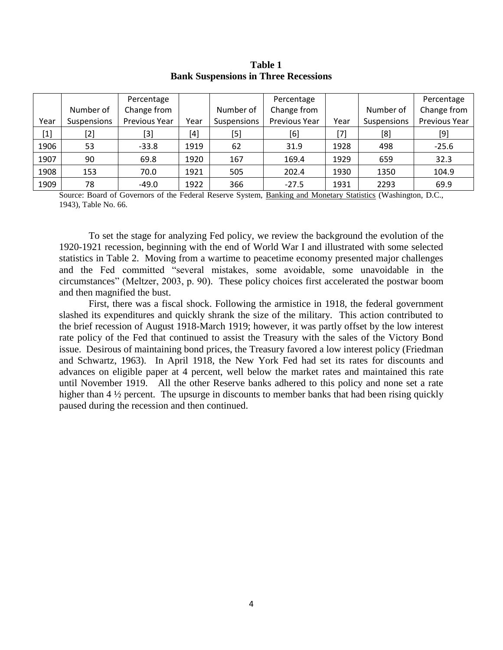|       |             | Percentage    |                                                                                                                                                                                       |             | Percentage    |      |             | Percentage    |
|-------|-------------|---------------|---------------------------------------------------------------------------------------------------------------------------------------------------------------------------------------|-------------|---------------|------|-------------|---------------|
|       | Number of   | Change from   |                                                                                                                                                                                       | Number of   | Change from   |      | Number of   | Change from   |
| Year  | Suspensions | Previous Year | Year                                                                                                                                                                                  | Suspensions | Previous Year | Year | Suspensions | Previous Year |
| $[1]$ | $[2]$       | $[3]$         | $[4] % \includegraphics[width=1\textwidth]{images/TrDiM-Architecture.png} \caption{The figure shows the results of the estimators in the left hand side.} \label{TrDiM-Architecture}$ | $[5]$       | [6]           | [7]  | [8]         | [9]           |
| 1906  | 53          | $-33.8$       | 1919                                                                                                                                                                                  | 62          | 31.9          | 1928 | 498         | $-25.6$       |
| 1907  | 90          | 69.8          | 1920                                                                                                                                                                                  | 167         | 169.4         | 1929 | 659         | 32.3          |
| 1908  | 153         | 70.0          | 1921                                                                                                                                                                                  | 505         | 202.4         | 1930 | 1350        | 104.9         |
| 1909  | 78          | $-49.0$       | 1922                                                                                                                                                                                  | 366         | $-27.5$       | 1931 | 2293        | 69.9          |

### **Table 1 Bank Suspensions in Three Recessions**

Source: Board of Governors of the Federal Reserve System, Banking and Monetary Statistics (Washington, D.C., 1943), Table No. 66.

To set the stage for analyzing Fed policy, we review the background the evolution of the 1920-1921 recession, beginning with the end of World War I and illustrated with some selected statistics in Table 2. Moving from a wartime to peacetime economy presented major challenges and the Fed committed "several mistakes, some avoidable, some unavoidable in the circumstances" (Meltzer, 2003, p. 90). These policy choices first accelerated the postwar boom and then magnified the bust.

First, there was a fiscal shock. Following the armistice in 1918, the federal government slashed its expenditures and quickly shrank the size of the military. This action contributed to the brief recession of August 1918-March 1919; however, it was partly offset by the low interest rate policy of the Fed that continued to assist the Treasury with the sales of the Victory Bond issue. Desirous of maintaining bond prices, the Treasury favored a low interest policy (Friedman and Schwartz, 1963). In April 1918, the New York Fed had set its rates for discounts and advances on eligible paper at 4 percent, well below the market rates and maintained this rate until November 1919. All the other Reserve banks adhered to this policy and none set a rate higher than 4 <sup>1</sup>/<sub>2</sub> percent. The upsurge in discounts to member banks that had been rising quickly paused during the recession and then continued.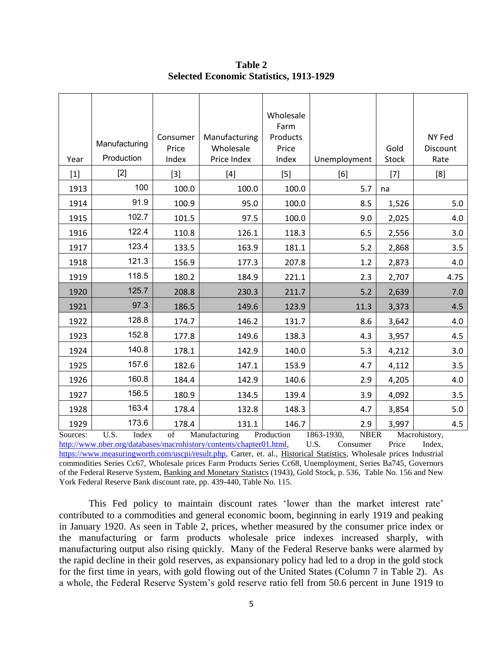| Year     | Manufacturing<br>Production | Consumer<br>Price<br>Index | Manufacturing<br>Wholesale<br>Price Index | Wholesale<br>Farm<br>Products<br>Price<br>Index | Unemployment              | Gold<br><b>Stock</b> | NY Fed<br>Discount<br>Rate |
|----------|-----------------------------|----------------------------|-------------------------------------------|-------------------------------------------------|---------------------------|----------------------|----------------------------|
| $[1]$    | $[2]$                       | $[3]$                      | $[4]$                                     | $[5]$                                           | [6]                       | $[7]$                | [8]                        |
| 1913     | 100                         | 100.0                      | 100.0                                     | 100.0                                           | 5.7                       | na                   |                            |
| 1914     | 91.9                        | 100.9                      | 95.0                                      | 100.0                                           | 8.5                       | 1,526                | 5.0                        |
| 1915     | 102.7                       | 101.5                      | 97.5                                      | 100.0                                           | 9.0                       | 2,025                | 4.0                        |
| 1916     | 122.4                       | 110.8                      | 126.1                                     | 118.3                                           | 6.5                       | 2,556                | 3.0                        |
| 1917     | 123.4                       | 133.5                      | 163.9                                     | 181.1                                           | 5.2                       | 2,868                | 3.5                        |
| 1918     | 121.3                       | 156.9                      | 177.3                                     | 207.8                                           | 1.2                       | 2,873                | 4.0                        |
| 1919     | 118.5                       | 180.2                      | 184.9                                     | 221.1                                           | 2.3                       | 2,707                | 4.75                       |
| 1920     | 125.7                       | 208.8                      | 230.3                                     | 211.7                                           | 5.2                       | 2,639                | 7.0                        |
| 1921     | 97.3                        | 186.5                      | 149.6                                     | 123.9                                           | 11.3                      | 3,373                | 4.5                        |
| 1922     | 128.8                       | 174.7                      | 146.2                                     | 131.7                                           | 8.6                       | 3,642                | 4.0                        |
| 1923     | 152.8                       | 177.8                      | 149.6                                     | 138.3                                           | 4.3                       | 3,957                | 4.5                        |
| 1924     | 140.8                       | 178.1                      | 142.9                                     | 140.0                                           | 5.3                       | 4,212                | 3.0                        |
| 1925     | 157.6                       | 182.6                      | 147.1                                     | 153.9                                           | 4.7                       | 4,112                | 3.5                        |
| 1926     | 160.8                       | 184.4                      | 142.9                                     | 140.6                                           | 2.9                       | 4,205                | 4.0                        |
| 1927     | 156.5                       | 180.9                      | 134.5                                     | 139.4                                           | 3.9                       | 4,092                | 3.5                        |
| 1928     | 163.4                       | 178.4                      | 132.8                                     | 148.3                                           | 4.7                       | 3,854                | 5.0                        |
| 1929     | 173.6                       | 178.4                      | 131.1                                     | 146.7                                           | 2.9                       | 3,997                | 4.5                        |
| Sources: | U.S.<br>Index               | of                         | Manufacturing                             | Production                                      | 1863-1930,<br><b>NBER</b> |                      | Macrohistory,              |

**Table 2 Selected Economic Statistics, 1913-1929**

[http://www.nber.org/databases/macrohistory/contents/chapter01.html,](http://www.nber.org/databases/macrohistory/contents/chapter01.html) U.S. Consumer Price Index, [https://www.measuringworth.com/uscpi/result.php,](https://www.measuringworth.com/uscpi/result.php) Carter, et. al., Historical Statistics, Wholesale prices Industrial commodities Series Cc67, Wholesale prices Farm Products Series Cc68, Unemployment, Series Ba745, Governors of the Federal Reserve System, Banking and Monetary Statistcs (1943), Gold Stock, p. 536, Table No. 156 and New York Federal Reserve Bank discount rate, pp. 439-440, Table No. 115.

This Fed policy to maintain discount rates 'lower than the market interest rate' contributed to a commodities and general economic boom, beginning in early 1919 and peaking in January 1920. As seen in Table 2, prices, whether measured by the consumer price index or the manufacturing or farm products wholesale price indexes increased sharply, with manufacturing output also rising quickly. Many of the Federal Reserve banks were alarmed by the rapid decline in their gold reserves, as expansionary policy had led to a drop in the gold stock for the first time in years, with gold flowing out of the United States (Column 7 in Table 2). As a whole, the Federal Reserve System's gold reserve ratio fell from 50.6 percent in June 1919 to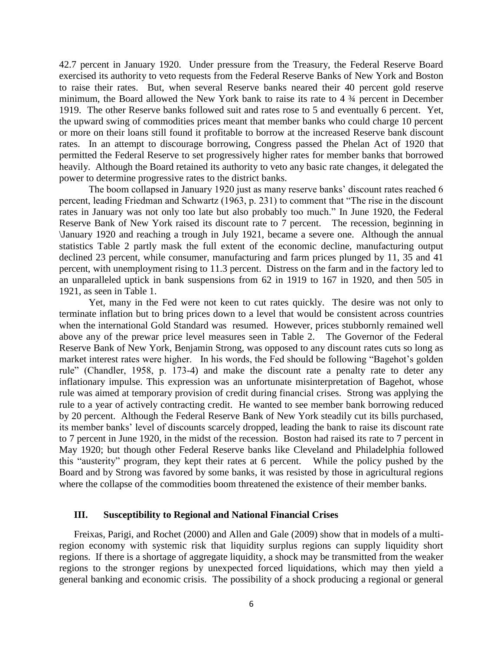42.7 percent in January 1920. Under pressure from the Treasury, the Federal Reserve Board exercised its authority to veto requests from the Federal Reserve Banks of New York and Boston to raise their rates. But, when several Reserve banks neared their 40 percent gold reserve minimum, the Board allowed the New York bank to raise its rate to 4 ¾ percent in December 1919. The other Reserve banks followed suit and rates rose to 5 and eventually 6 percent. Yet, the upward swing of commodities prices meant that member banks who could charge 10 percent or more on their loans still found it profitable to borrow at the increased Reserve bank discount rates. In an attempt to discourage borrowing, Congress passed the Phelan Act of 1920 that permitted the Federal Reserve to set progressively higher rates for member banks that borrowed heavily. Although the Board retained its authority to veto any basic rate changes, it delegated the power to determine progressive rates to the district banks.

The boom collapsed in January 1920 just as many reserve banks' discount rates reached 6 percent, leading Friedman and Schwartz (1963, p. 231) to comment that "The rise in the discount rates in January was not only too late but also probably too much." In June 1920, the Federal Reserve Bank of New York raised its discount rate to 7 percent. The recession, beginning in \January 1920 and reaching a trough in July 1921, became a severe one. Although the annual statistics Table 2 partly mask the full extent of the economic decline, manufacturing output declined 23 percent, while consumer, manufacturing and farm prices plunged by 11, 35 and 41 percent, with unemployment rising to 11.3 percent. Distress on the farm and in the factory led to an unparalleled uptick in bank suspensions from 62 in 1919 to 167 in 1920, and then 505 in 1921, as seen in Table 1.

Yet, many in the Fed were not keen to cut rates quickly. The desire was not only to terminate inflation but to bring prices down to a level that would be consistent across countries when the international Gold Standard was resumed. However, prices stubbornly remained well above any of the prewar price level measures seen in Table 2. The Governor of the Federal Reserve Bank of New York, Benjamin Strong, was opposed to any discount rates cuts so long as market interest rates were higher. In his words, the Fed should be following "Bagehot's golden rule" (Chandler, 1958, p. 173-4) and make the discount rate a penalty rate to deter any inflationary impulse. This expression was an unfortunate misinterpretation of Bagehot, whose rule was aimed at temporary provision of credit during financial crises. Strong was applying the rule to a year of actively contracting credit. He wanted to see member bank borrowing reduced by 20 percent. Although the Federal Reserve Bank of New York steadily cut its bills purchased, its member banks' level of discounts scarcely dropped, leading the bank to raise its discount rate to 7 percent in June 1920, in the midst of the recession. Boston had raised its rate to 7 percent in May 1920; but though other Federal Reserve banks like Cleveland and Philadelphia followed this "austerity" program, they kept their rates at 6 percent. While the policy pushed by the Board and by Strong was favored by some banks, it was resisted by those in agricultural regions where the collapse of the commodities boom threatened the existence of their member banks.

### **III. Susceptibility to Regional and National Financial Crises**

Freixas, Parigi, and Rochet (2000) and Allen and Gale (2009) show that in models of a multiregion economy with systemic risk that liquidity surplus regions can supply liquidity short regions. If there is a shortage of aggregate liquidity, a shock may be transmitted from the weaker regions to the stronger regions by unexpected forced liquidations, which may then yield a general banking and economic crisis. The possibility of a shock producing a regional or general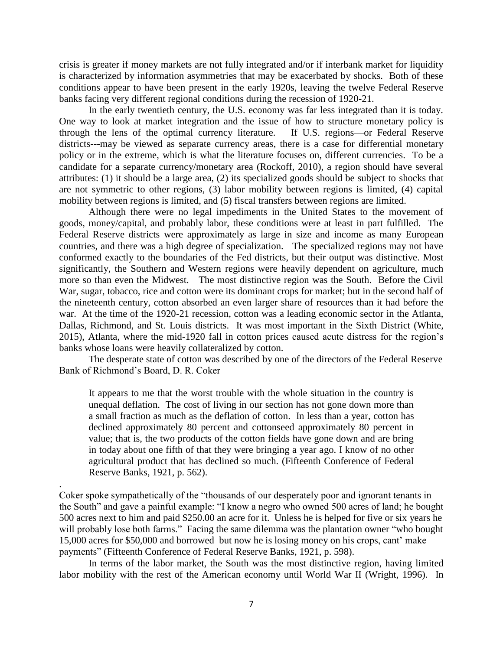crisis is greater if money markets are not fully integrated and/or if interbank market for liquidity is characterized by information asymmetries that may be exacerbated by shocks. Both of these conditions appear to have been present in the early 1920s, leaving the twelve Federal Reserve banks facing very different regional conditions during the recession of 1920-21.

In the early twentieth century, the U.S. economy was far less integrated than it is today. One way to look at market integration and the issue of how to structure monetary policy is through the lens of the optimal currency literature. If U.S. regions—or Federal Reserve districts---may be viewed as separate currency areas, there is a case for differential monetary policy or in the extreme, which is what the literature focuses on, different currencies. To be a candidate for a separate currency/monetary area (Rockoff, 2010), a region should have several attributes: (1) it should be a large area, (2) its specialized goods should be subject to shocks that are not symmetric to other regions, (3) labor mobility between regions is limited, (4) capital mobility between regions is limited, and (5) fiscal transfers between regions are limited.

Although there were no legal impediments in the United States to the movement of goods, money/capital, and probably labor, these conditions were at least in part fulfilled. The Federal Reserve districts were approximately as large in size and income as many European countries, and there was a high degree of specialization. The specialized regions may not have conformed exactly to the boundaries of the Fed districts, but their output was distinctive. Most significantly, the Southern and Western regions were heavily dependent on agriculture, much more so than even the Midwest. The most distinctive region was the South. Before the Civil War, sugar, tobacco, rice and cotton were its dominant crops for market; but in the second half of the nineteenth century, cotton absorbed an even larger share of resources than it had before the war. At the time of the 1920-21 recession, cotton was a leading economic sector in the Atlanta, Dallas, Richmond, and St. Louis districts. It was most important in the Sixth District (White, 2015), Atlanta, where the mid-1920 fall in cotton prices caused acute distress for the region's banks whose loans were heavily collateralized by cotton.

The desperate state of cotton was described by one of the directors of the Federal Reserve Bank of Richmond's Board, D. R. Coker

It appears to me that the worst trouble with the whole situation in the country is unequal deflation. The cost of living in our section has not gone down more than a small fraction as much as the deflation of cotton. In less than a year, cotton has declined approximately 80 percent and cottonseed approximately 80 percent in value; that is, the two products of the cotton fields have gone down and are bring in today about one fifth of that they were bringing a year ago. I know of no other agricultural product that has declined so much. (Fifteenth Conference of Federal Reserve Banks, 1921, p. 562).

Coker spoke sympathetically of the "thousands of our desperately poor and ignorant tenants in the South" and gave a painful example: "I know a negro who owned 500 acres of land; he bought 500 acres next to him and paid \$250.00 an acre for it. Unless he is helped for five or six years he will probably lose both farms." Facing the same dilemma was the plantation owner "who bought 15,000 acres for \$50,000 and borrowed but now he is losing money on his crops, cant' make payments" (Fifteenth Conference of Federal Reserve Banks, 1921, p. 598).

.

In terms of the labor market, the South was the most distinctive region, having limited labor mobility with the rest of the American economy until World War II (Wright, 1996). In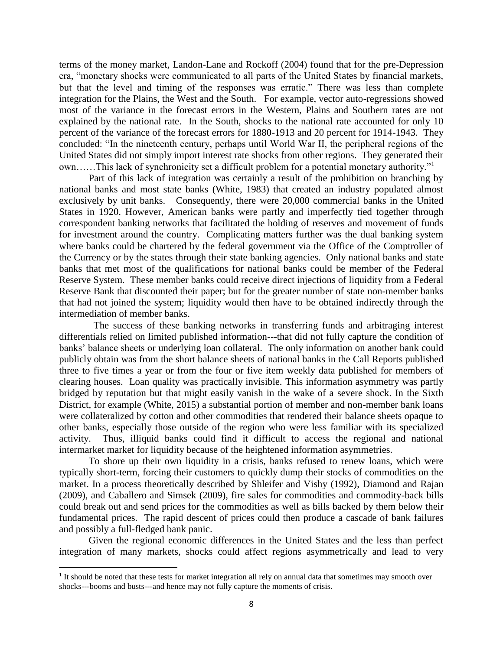terms of the money market, Landon-Lane and Rockoff (2004) found that for the pre-Depression era, "monetary shocks were communicated to all parts of the United States by financial markets, but that the level and timing of the responses was erratic." There was less than complete integration for the Plains, the West and the South. For example, vector auto-regressions showed most of the variance in the forecast errors in the Western, Plains and Southern rates are not explained by the national rate. In the South, shocks to the national rate accounted for only 10 percent of the variance of the forecast errors for 1880-1913 and 20 percent for 1914-1943. They concluded: "In the nineteenth century, perhaps until World War II, the peripheral regions of the United States did not simply import interest rate shocks from other regions. They generated their own……This lack of synchronicity set a difficult problem for a potential monetary authority."<sup>1</sup>

Part of this lack of integration was certainly a result of the prohibition on branching by national banks and most state banks (White, 1983) that created an industry populated almost exclusively by unit banks. Consequently, there were 20,000 commercial banks in the United States in 1920. However, American banks were partly and imperfectly tied together through correspondent banking networks that facilitated the holding of reserves and movement of funds for investment around the country. Complicating matters further was the dual banking system where banks could be chartered by the federal government via the Office of the Comptroller of the Currency or by the states through their state banking agencies. Only national banks and state banks that met most of the qualifications for national banks could be member of the Federal Reserve System. These member banks could receive direct injections of liquidity from a Federal Reserve Bank that discounted their paper; but for the greater number of state non-member banks that had not joined the system; liquidity would then have to be obtained indirectly through the intermediation of member banks.

 The success of these banking networks in transferring funds and arbitraging interest differentials relied on limited published information---that did not fully capture the condition of banks' balance sheets or underlying loan collateral. The only information on another bank could publicly obtain was from the short balance sheets of national banks in the Call Reports published three to five times a year or from the four or five item weekly data published for members of clearing houses. Loan quality was practically invisible. This information asymmetry was partly bridged by reputation but that might easily vanish in the wake of a severe shock. In the Sixth District, for example (White, 2015) a substantial portion of member and non-member bank loans were collateralized by cotton and other commodities that rendered their balance sheets opaque to other banks, especially those outside of the region who were less familiar with its specialized activity. Thus, illiquid banks could find it difficult to access the regional and national intermarket market for liquidity because of the heightened information asymmetries.

To shore up their own liquidity in a crisis, banks refused to renew loans, which were typically short-term, forcing their customers to quickly dump their stocks of commodities on the market. In a process theoretically described by Shleifer and Vishy (1992), Diamond and Rajan (2009), and Caballero and Simsek (2009), fire sales for commodities and commodity-back bills could break out and send prices for the commodities as well as bills backed by them below their fundamental prices. The rapid descent of prices could then produce a cascade of bank failures and possibly a full-fledged bank panic.

Given the regional economic differences in the United States and the less than perfect integration of many markets, shocks could affect regions asymmetrically and lead to very

 $\overline{\phantom{a}}$ 

<sup>&</sup>lt;sup>1</sup> It should be noted that these tests for market integration all rely on annual data that sometimes may smooth over shocks---booms and busts---and hence may not fully capture the moments of crisis.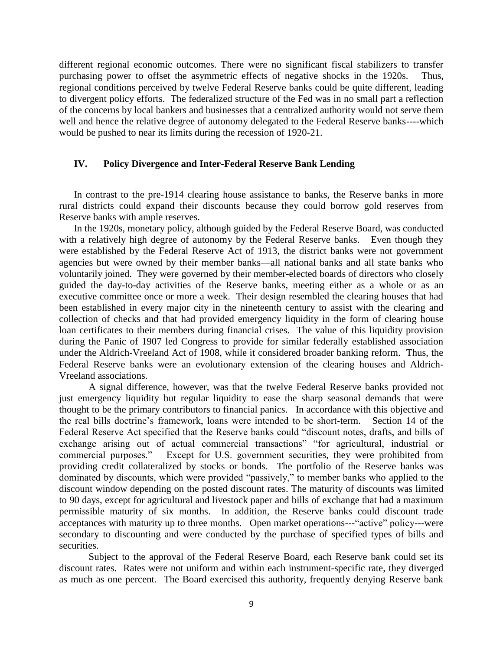different regional economic outcomes. There were no significant fiscal stabilizers to transfer purchasing power to offset the asymmetric effects of negative shocks in the 1920s. Thus, regional conditions perceived by twelve Federal Reserve banks could be quite different, leading to divergent policy efforts. The federalized structure of the Fed was in no small part a reflection of the concerns by local bankers and businesses that a centralized authority would not serve them well and hence the relative degree of autonomy delegated to the Federal Reserve banks----which would be pushed to near its limits during the recession of 1920-21.

#### **IV. Policy Divergence and Inter-Federal Reserve Bank Lending**

In contrast to the pre-1914 clearing house assistance to banks, the Reserve banks in more rural districts could expand their discounts because they could borrow gold reserves from Reserve banks with ample reserves.

In the 1920s, monetary policy, although guided by the Federal Reserve Board, was conducted with a relatively high degree of autonomy by the Federal Reserve banks. Even though they were established by the Federal Reserve Act of 1913, the district banks were not government agencies but were owned by their member banks—all national banks and all state banks who voluntarily joined. They were governed by their member-elected boards of directors who closely guided the day-to-day activities of the Reserve banks, meeting either as a whole or as an executive committee once or more a week. Their design resembled the clearing houses that had been established in every major city in the nineteenth century to assist with the clearing and collection of checks and that had provided emergency liquidity in the form of clearing house loan certificates to their members during financial crises. The value of this liquidity provision during the Panic of 1907 led Congress to provide for similar federally established association under the Aldrich-Vreeland Act of 1908, while it considered broader banking reform. Thus, the Federal Reserve banks were an evolutionary extension of the clearing houses and Aldrich-Vreeland associations.

A signal difference, however, was that the twelve Federal Reserve banks provided not just emergency liquidity but regular liquidity to ease the sharp seasonal demands that were thought to be the primary contributors to financial panics. In accordance with this objective and the real bills doctrine's framework, loans were intended to be short-term. Section 14 of the Federal Reserve Act specified that the Reserve banks could "discount notes, drafts, and bills of exchange arising out of actual commercial transactions" "for agricultural, industrial or commercial purposes." Except for U.S. government securities, they were prohibited from providing credit collateralized by stocks or bonds. The portfolio of the Reserve banks was dominated by discounts, which were provided "passively," to member banks who applied to the discount window depending on the posted discount rates. The maturity of discounts was limited to 90 days, except for agricultural and livestock paper and bills of exchange that had a maximum permissible maturity of six months. In addition, the Reserve banks could discount trade acceptances with maturity up to three months. Open market operations---"active" policy---were secondary to discounting and were conducted by the purchase of specified types of bills and securities.

Subject to the approval of the Federal Reserve Board, each Reserve bank could set its discount rates. Rates were not uniform and within each instrument-specific rate, they diverged as much as one percent. The Board exercised this authority, frequently denying Reserve bank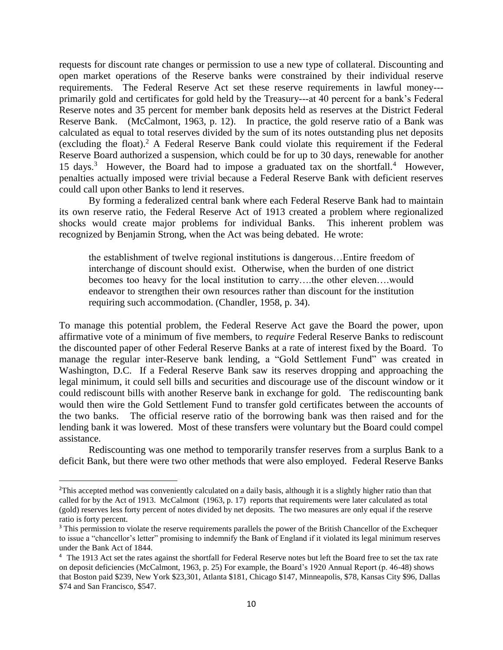requests for discount rate changes or permission to use a new type of collateral. Discounting and open market operations of the Reserve banks were constrained by their individual reserve requirements. The Federal Reserve Act set these reserve requirements in lawful money-- primarily gold and certificates for gold held by the Treasury---at 40 percent for a bank's Federal Reserve notes and 35 percent for member bank deposits held as reserves at the District Federal Reserve Bank. (McCalmont, 1963, p. 12). In practice, the gold reserve ratio of a Bank was calculated as equal to total reserves divided by the sum of its notes outstanding plus net deposits (excluding the float). <sup>2</sup> A Federal Reserve Bank could violate this requirement if the Federal Reserve Board authorized a suspension, which could be for up to 30 days, renewable for another 15 days.<sup>3</sup> However, the Board had to impose a graduated tax on the shortfall.<sup>4</sup> However, penalties actually imposed were trivial because a Federal Reserve Bank with deficient reserves could call upon other Banks to lend it reserves.

By forming a federalized central bank where each Federal Reserve Bank had to maintain its own reserve ratio, the Federal Reserve Act of 1913 created a problem where regionalized shocks would create major problems for individual Banks. This inherent problem was recognized by Benjamin Strong, when the Act was being debated. He wrote:

the establishment of twelve regional institutions is dangerous…Entire freedom of interchange of discount should exist. Otherwise, when the burden of one district becomes too heavy for the local institution to carry….the other eleven….would endeavor to strengthen their own resources rather than discount for the institution requiring such accommodation. (Chandler, 1958, p. 34).

To manage this potential problem, the Federal Reserve Act gave the Board the power, upon affirmative vote of a minimum of five members, to *require* Federal Reserve Banks to rediscount the discounted paper of other Federal Reserve Banks at a rate of interest fixed by the Board. To manage the regular inter-Reserve bank lending, a "Gold Settlement Fund" was created in Washington, D.C. If a Federal Reserve Bank saw its reserves dropping and approaching the legal minimum, it could sell bills and securities and discourage use of the discount window or it could rediscount bills with another Reserve bank in exchange for gold. The rediscounting bank would then wire the Gold Settlement Fund to transfer gold certificates between the accounts of the two banks. The official reserve ratio of the borrowing bank was then raised and for the lending bank it was lowered. Most of these transfers were voluntary but the Board could compel assistance.

Rediscounting was one method to temporarily transfer reserves from a surplus Bank to a deficit Bank, but there were two other methods that were also employed. Federal Reserve Banks

 $\overline{a}$ 

<sup>&</sup>lt;sup>2</sup>This accepted method was conveniently calculated on a daily basis, although it is a slightly higher ratio than that called for by the Act of 1913. McCalmont (1963, p. 17) reports that requirements were later calculated as total (gold) reserves less forty percent of notes divided by net deposits. The two measures are only equal if the reserve ratio is forty percent.

<sup>&</sup>lt;sup>3</sup> This permission to violate the reserve requirements parallels the power of the British Chancellor of the Exchequer to issue a "chancellor's letter" promising to indemnify the Bank of England if it violated its legal minimum reserves under the Bank Act of 1844.

<sup>&</sup>lt;sup>4</sup> The 1913 Act set the rates against the shortfall for Federal Reserve notes but left the Board free to set the tax rate on deposit deficiencies (McCalmont, 1963, p. 25) For example, the Board's 1920 Annual Report (p. 46-48) shows that Boston paid \$239, New York \$23,301, Atlanta \$181, Chicago \$147, Minneapolis, \$78, Kansas City \$96, Dallas \$74 and San Francisco, \$547.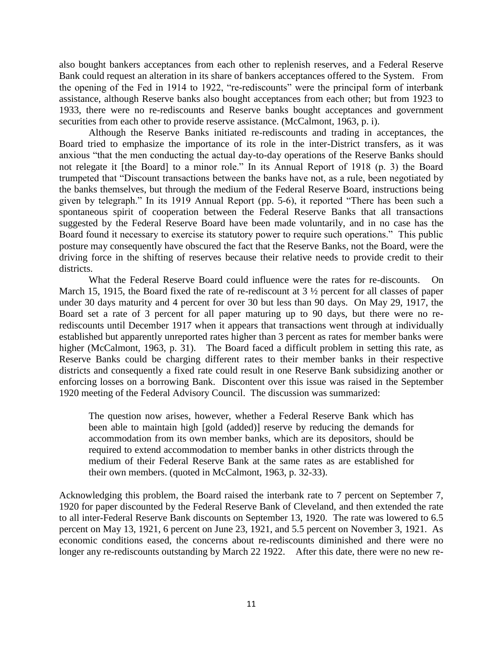also bought bankers acceptances from each other to replenish reserves, and a Federal Reserve Bank could request an alteration in its share of bankers acceptances offered to the System. From the opening of the Fed in 1914 to 1922, "re-rediscounts" were the principal form of interbank assistance, although Reserve banks also bought acceptances from each other; but from 1923 to 1933, there were no re-rediscounts and Reserve banks bought acceptances and government securities from each other to provide reserve assistance. (McCalmont, 1963, p. i).

Although the Reserve Banks initiated re-rediscounts and trading in acceptances, the Board tried to emphasize the importance of its role in the inter-District transfers, as it was anxious "that the men conducting the actual day-to-day operations of the Reserve Banks should not relegate it [the Board] to a minor role." In its Annual Report of 1918 (p. 3) the Board trumpeted that "Discount transactions between the banks have not, as a rule, been negotiated by the banks themselves, but through the medium of the Federal Reserve Board, instructions being given by telegraph." In its 1919 Annual Report (pp. 5-6), it reported "There has been such a spontaneous spirit of cooperation between the Federal Reserve Banks that all transactions suggested by the Federal Reserve Board have been made voluntarily, and in no case has the Board found it necessary to exercise its statutory power to require such operations." This public posture may consequently have obscured the fact that the Reserve Banks, not the Board, were the driving force in the shifting of reserves because their relative needs to provide credit to their districts.

What the Federal Reserve Board could influence were the rates for re-discounts. On March 15, 1915, the Board fixed the rate of re-rediscount at  $3 \frac{1}{2}$  percent for all classes of paper under 30 days maturity and 4 percent for over 30 but less than 90 days. On May 29, 1917, the Board set a rate of 3 percent for all paper maturing up to 90 days, but there were no rerediscounts until December 1917 when it appears that transactions went through at individually established but apparently unreported rates higher than 3 percent as rates for member banks were higher (McCalmont, 1963, p. 31). The Board faced a difficult problem in setting this rate, as Reserve Banks could be charging different rates to their member banks in their respective districts and consequently a fixed rate could result in one Reserve Bank subsidizing another or enforcing losses on a borrowing Bank. Discontent over this issue was raised in the September 1920 meeting of the Federal Advisory Council. The discussion was summarized:

The question now arises, however, whether a Federal Reserve Bank which has been able to maintain high [gold (added)] reserve by reducing the demands for accommodation from its own member banks, which are its depositors, should be required to extend accommodation to member banks in other districts through the medium of their Federal Reserve Bank at the same rates as are established for their own members. (quoted in McCalmont, 1963, p. 32-33).

Acknowledging this problem, the Board raised the interbank rate to 7 percent on September 7, 1920 for paper discounted by the Federal Reserve Bank of Cleveland, and then extended the rate to all inter-Federal Reserve Bank discounts on September 13, 1920. The rate was lowered to 6.5 percent on May 13, 1921, 6 percent on June 23, 1921, and 5.5 percent on November 3, 1921. As economic conditions eased, the concerns about re-rediscounts diminished and there were no longer any re-rediscounts outstanding by March 22 1922. After this date, there were no new re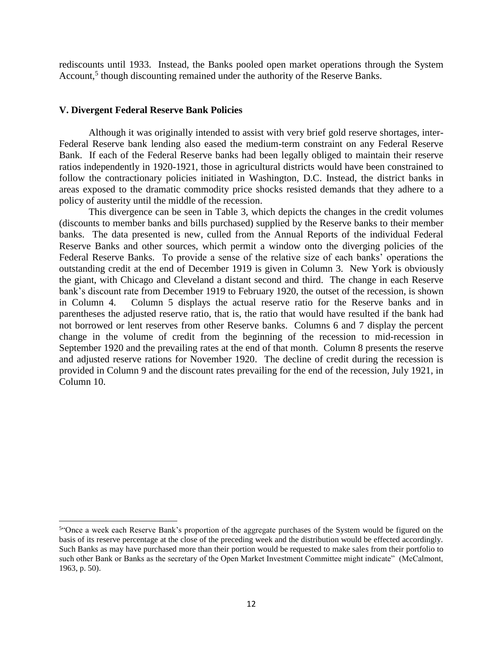rediscounts until 1933. Instead, the Banks pooled open market operations through the System Account,<sup>5</sup> though discounting remained under the authority of the Reserve Banks.

#### **V. Divergent Federal Reserve Bank Policies**

 $\overline{\phantom{a}}$ 

Although it was originally intended to assist with very brief gold reserve shortages, inter-Federal Reserve bank lending also eased the medium-term constraint on any Federal Reserve Bank. If each of the Federal Reserve banks had been legally obliged to maintain their reserve ratios independently in 1920-1921, those in agricultural districts would have been constrained to follow the contractionary policies initiated in Washington, D.C. Instead, the district banks in areas exposed to the dramatic commodity price shocks resisted demands that they adhere to a policy of austerity until the middle of the recession.

This divergence can be seen in Table 3, which depicts the changes in the credit volumes (discounts to member banks and bills purchased) supplied by the Reserve banks to their member banks. The data presented is new, culled from the Annual Reports of the individual Federal Reserve Banks and other sources, which permit a window onto the diverging policies of the Federal Reserve Banks. To provide a sense of the relative size of each banks' operations the outstanding credit at the end of December 1919 is given in Column 3. New York is obviously the giant, with Chicago and Cleveland a distant second and third. The change in each Reserve bank's discount rate from December 1919 to February 1920, the outset of the recession, is shown in Column 4. Column 5 displays the actual reserve ratio for the Reserve banks and in parentheses the adjusted reserve ratio, that is, the ratio that would have resulted if the bank had not borrowed or lent reserves from other Reserve banks. Columns 6 and 7 display the percent change in the volume of credit from the beginning of the recession to mid-recession in September 1920 and the prevailing rates at the end of that month. Column 8 presents the reserve and adjusted reserve rations for November 1920. The decline of credit during the recession is provided in Column 9 and the discount rates prevailing for the end of the recession, July 1921, in Column 10.

<sup>&</sup>lt;sup>54</sup>Once a week each Reserve Bank's proportion of the aggregate purchases of the System would be figured on the basis of its reserve percentage at the close of the preceding week and the distribution would be effected accordingly. Such Banks as may have purchased more than their portion would be requested to make sales from their portfolio to such other Bank or Banks as the secretary of the Open Market Investment Committee might indicate" (McCalmont, 1963, p. 50).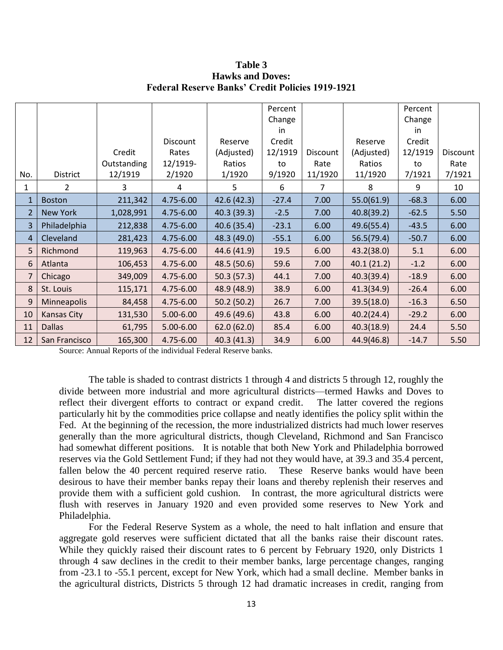|                |                    |             |           |             | Percent |          |            | Percent |          |
|----------------|--------------------|-------------|-----------|-------------|---------|----------|------------|---------|----------|
|                |                    |             |           |             | Change  |          |            | Change  |          |
|                |                    |             |           |             | in.     |          |            | in.     |          |
|                |                    |             | Discount  | Reserve     | Credit  |          | Reserve    | Credit  |          |
|                |                    | Credit      | Rates     | (Adjusted)  | 12/1919 | Discount | (Adjusted) | 12/1919 | Discount |
|                |                    | Outstanding | 12/1919-  | Ratios      | to      | Rate     | Ratios     | to      | Rate     |
| No.            | District           | 12/1919     | 2/1920    | 1/1920      | 9/1920  | 11/1920  | 11/1920    | 7/1921  | 7/1921   |
| 1              | $\overline{2}$     | 3           | 4         | 5           | 6       | 7        | 8          | 9       | 10       |
| $\mathbf{1}$   | <b>Boston</b>      | 211,342     | 4.75-6.00 | 42.6 (42.3) | $-27.4$ | 7.00     | 55.0(61.9) | $-68.3$ | 6.00     |
| $\overline{2}$ | <b>New York</b>    | 1,028,991   | 4.75-6.00 | 40.3 (39.3) | $-2.5$  | 7.00     | 40.8(39.2) | $-62.5$ | 5.50     |
| 3              | Philadelphia       | 212,838     | 4.75-6.00 | 40.6 (35.4) | $-23.1$ | 6.00     | 49.6(55.4) | $-43.5$ | 6.00     |
| 4              | Cleveland          | 281,423     | 4.75-6.00 | 48.3 (49.0) | $-55.1$ | 6.00     | 56.5(79.4) | $-50.7$ | 6.00     |
| 5              | Richmond           | 119,963     | 4.75-6.00 | 44.6 (41.9) | 19.5    | 6.00     | 43.2(38.0) | 5.1     | 6.00     |
| 6              | Atlanta            | 106,453     | 4.75-6.00 | 48.5 (50.6) | 59.6    | 7.00     | 40.1(21.2) | $-1.2$  | 6.00     |
| $\overline{7}$ | Chicago            | 349,009     | 4.75-6.00 | 50.3(57.3)  | 44.1    | 7.00     | 40.3(39.4) | $-18.9$ | 6.00     |
| 8              | St. Louis          | 115,171     | 4.75-6.00 | 48.9 (48.9) | 38.9    | 6.00     | 41.3(34.9) | $-26.4$ | 6.00     |
| 9              | Minneapolis        | 84,458      | 4.75-6.00 | 50.2(50.2)  | 26.7    | 7.00     | 39.5(18.0) | $-16.3$ | 6.50     |
| 10             | <b>Kansas City</b> | 131,530     | 5.00-6.00 | 49.6 (49.6) | 43.8    | 6.00     | 40.2(24.4) | $-29.2$ | 6.00     |
| 11             | <b>Dallas</b>      | 61,795      | 5.00-6.00 | 62.0(62.0)  | 85.4    | 6.00     | 40.3(18.9) | 24.4    | 5.50     |
| 12             | San Francisco      | 165,300     | 4.75-6.00 | 40.3 (41.3) | 34.9    | 6.00     | 44.9(46.8) | $-14.7$ | 5.50     |

**Table 3 Hawks and Doves: Federal Reserve Banks' Credit Policies 1919-1921**

Source: Annual Reports of the individual Federal Reserve banks.

The table is shaded to contrast districts 1 through 4 and districts 5 through 12, roughly the divide between more industrial and more agricultural districts—termed Hawks and Doves to reflect their divergent efforts to contract or expand credit. The latter covered the regions particularly hit by the commodities price collapse and neatly identifies the policy split within the Fed. At the beginning of the recession, the more industrialized districts had much lower reserves generally than the more agricultural districts, though Cleveland, Richmond and San Francisco had somewhat different positions. It is notable that both New York and Philadelphia borrowed reserves via the Gold Settlement Fund; if they had not they would have, at 39.3 and 35.4 percent, fallen below the 40 percent required reserve ratio. These Reserve banks would have been desirous to have their member banks repay their loans and thereby replenish their reserves and provide them with a sufficient gold cushion. In contrast, the more agricultural districts were flush with reserves in January 1920 and even provided some reserves to New York and Philadelphia.

For the Federal Reserve System as a whole, the need to halt inflation and ensure that aggregate gold reserves were sufficient dictated that all the banks raise their discount rates. While they quickly raised their discount rates to 6 percent by February 1920, only Districts 1 through 4 saw declines in the credit to their member banks, large percentage changes, ranging from -23.1 to -55.1 percent, except for New York, which had a small decline. Member banks in the agricultural districts, Districts 5 through 12 had dramatic increases in credit, ranging from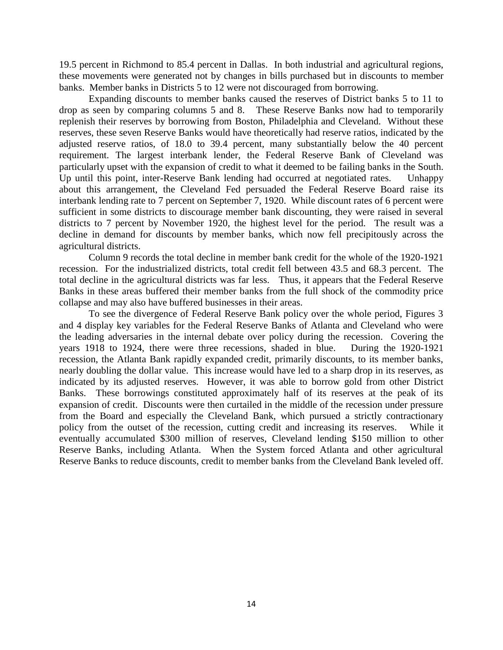19.5 percent in Richmond to 85.4 percent in Dallas. In both industrial and agricultural regions, these movements were generated not by changes in bills purchased but in discounts to member banks. Member banks in Districts 5 to 12 were not discouraged from borrowing.

Expanding discounts to member banks caused the reserves of District banks 5 to 11 to drop as seen by comparing columns 5 and 8. These Reserve Banks now had to temporarily replenish their reserves by borrowing from Boston, Philadelphia and Cleveland. Without these reserves, these seven Reserve Banks would have theoretically had reserve ratios, indicated by the adjusted reserve ratios, of 18.0 to 39.4 percent, many substantially below the 40 percent requirement. The largest interbank lender, the Federal Reserve Bank of Cleveland was particularly upset with the expansion of credit to what it deemed to be failing banks in the South. Up until this point, inter-Reserve Bank lending had occurred at negotiated rates. Unhappy about this arrangement, the Cleveland Fed persuaded the Federal Reserve Board raise its interbank lending rate to 7 percent on September 7, 1920. While discount rates of 6 percent were sufficient in some districts to discourage member bank discounting, they were raised in several districts to 7 percent by November 1920, the highest level for the period. The result was a decline in demand for discounts by member banks, which now fell precipitously across the agricultural districts.

Column 9 records the total decline in member bank credit for the whole of the 1920-1921 recession. For the industrialized districts, total credit fell between 43.5 and 68.3 percent. The total decline in the agricultural districts was far less. Thus, it appears that the Federal Reserve Banks in these areas buffered their member banks from the full shock of the commodity price collapse and may also have buffered businesses in their areas.

To see the divergence of Federal Reserve Bank policy over the whole period, Figures 3 and 4 display key variables for the Federal Reserve Banks of Atlanta and Cleveland who were the leading adversaries in the internal debate over policy during the recession. Covering the years 1918 to 1924, there were three recessions, shaded in blue. During the 1920-1921 recession, the Atlanta Bank rapidly expanded credit, primarily discounts, to its member banks, nearly doubling the dollar value. This increase would have led to a sharp drop in its reserves, as indicated by its adjusted reserves. However, it was able to borrow gold from other District Banks. These borrowings constituted approximately half of its reserves at the peak of its expansion of credit. Discounts were then curtailed in the middle of the recession under pressure from the Board and especially the Cleveland Bank, which pursued a strictly contractionary policy from the outset of the recession, cutting credit and increasing its reserves. While it eventually accumulated \$300 million of reserves, Cleveland lending \$150 million to other Reserve Banks, including Atlanta. When the System forced Atlanta and other agricultural Reserve Banks to reduce discounts, credit to member banks from the Cleveland Bank leveled off.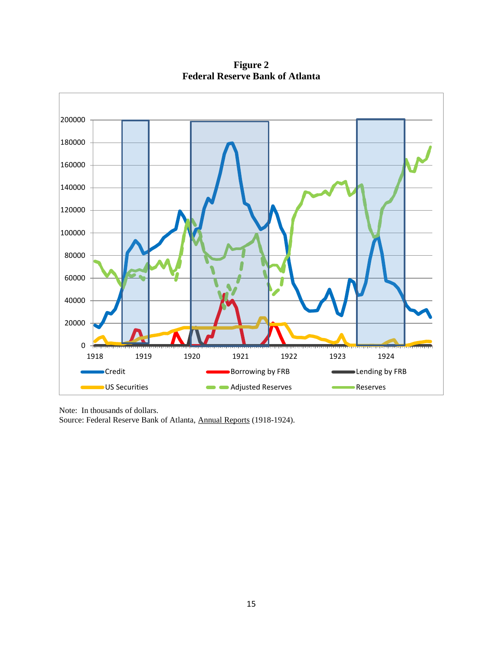**Figure 2 Federal Reserve Bank of Atlanta**



Note: In thousands of dollars.

Source: Federal Reserve Bank of Atlanta, Annual Reports (1918-1924).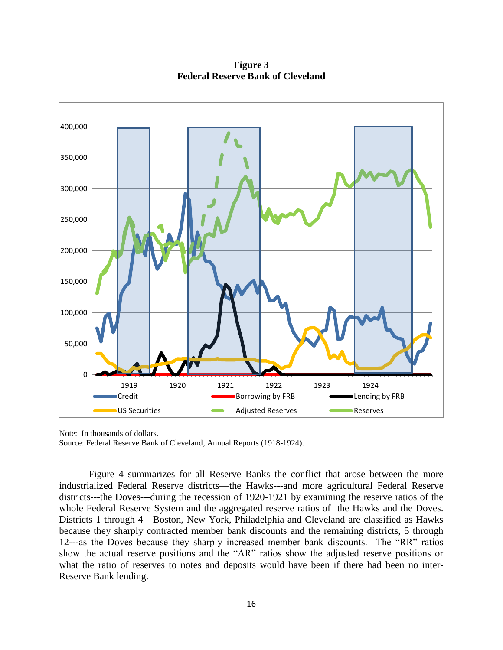**Figure 3 Federal Reserve Bank of Cleveland**



Note: In thousands of dollars. Source: Federal Reserve Bank of Cleveland, Annual Reports (1918-1924).

Figure 4 summarizes for all Reserve Banks the conflict that arose between the more industrialized Federal Reserve districts—the Hawks---and more agricultural Federal Reserve districts---the Doves---during the recession of 1920-1921 by examining the reserve ratios of the whole Federal Reserve System and the aggregated reserve ratios of the Hawks and the Doves. Districts 1 through 4—Boston, New York, Philadelphia and Cleveland are classified as Hawks because they sharply contracted member bank discounts and the remaining districts, 5 through 12---as the Doves because they sharply increased member bank discounts. The "RR" ratios show the actual reserve positions and the "AR" ratios show the adjusted reserve positions or what the ratio of reserves to notes and deposits would have been if there had been no inter-Reserve Bank lending.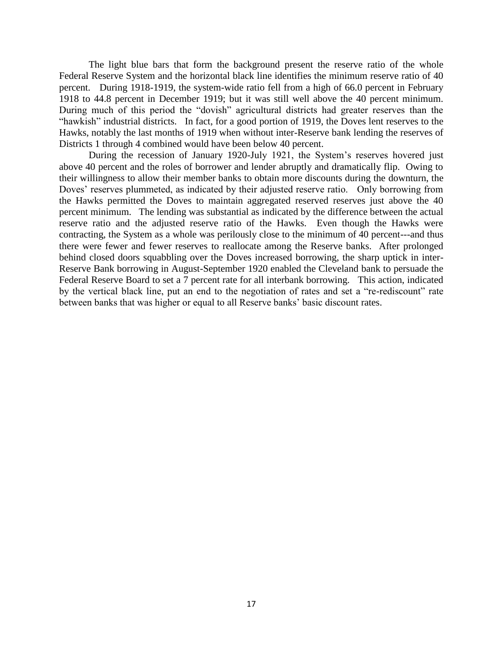The light blue bars that form the background present the reserve ratio of the whole Federal Reserve System and the horizontal black line identifies the minimum reserve ratio of 40 percent. During 1918-1919, the system-wide ratio fell from a high of 66.0 percent in February 1918 to 44.8 percent in December 1919; but it was still well above the 40 percent minimum. During much of this period the "dovish" agricultural districts had greater reserves than the "hawkish" industrial districts. In fact, for a good portion of 1919, the Doves lent reserves to the Hawks, notably the last months of 1919 when without inter-Reserve bank lending the reserves of Districts 1 through 4 combined would have been below 40 percent.

During the recession of January 1920-July 1921, the System's reserves hovered just above 40 percent and the roles of borrower and lender abruptly and dramatically flip. Owing to their willingness to allow their member banks to obtain more discounts during the downturn, the Doves' reserves plummeted, as indicated by their adjusted reserve ratio. Only borrowing from the Hawks permitted the Doves to maintain aggregated reserved reserves just above the 40 percent minimum. The lending was substantial as indicated by the difference between the actual reserve ratio and the adjusted reserve ratio of the Hawks. Even though the Hawks were contracting, the System as a whole was perilously close to the minimum of 40 percent---and thus there were fewer and fewer reserves to reallocate among the Reserve banks. After prolonged behind closed doors squabbling over the Doves increased borrowing, the sharp uptick in inter-Reserve Bank borrowing in August-September 1920 enabled the Cleveland bank to persuade the Federal Reserve Board to set a 7 percent rate for all interbank borrowing. This action, indicated by the vertical black line, put an end to the negotiation of rates and set a "re-rediscount" rate between banks that was higher or equal to all Reserve banks' basic discount rates.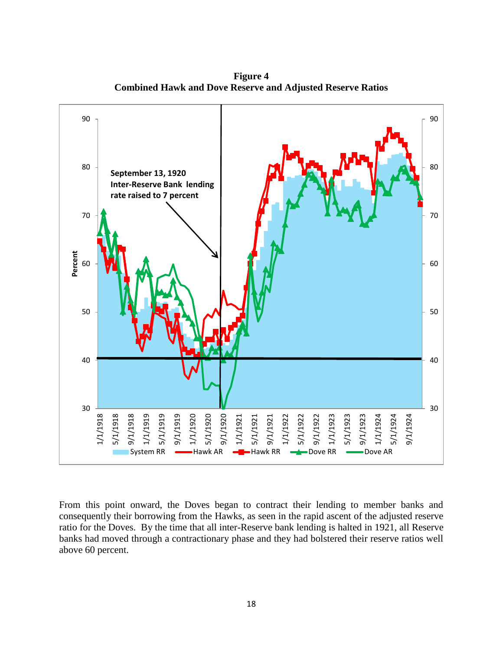

**Figure 4 Combined Hawk and Dove Reserve and Adjusted Reserve Ratios**

From this point onward, the Doves began to contract their lending to member banks and consequently their borrowing from the Hawks, as seen in the rapid ascent of the adjusted reserve ratio for the Doves. By the time that all inter-Reserve bank lending is halted in 1921, all Reserve banks had moved through a contractionary phase and they had bolstered their reserve ratios well above 60 percent.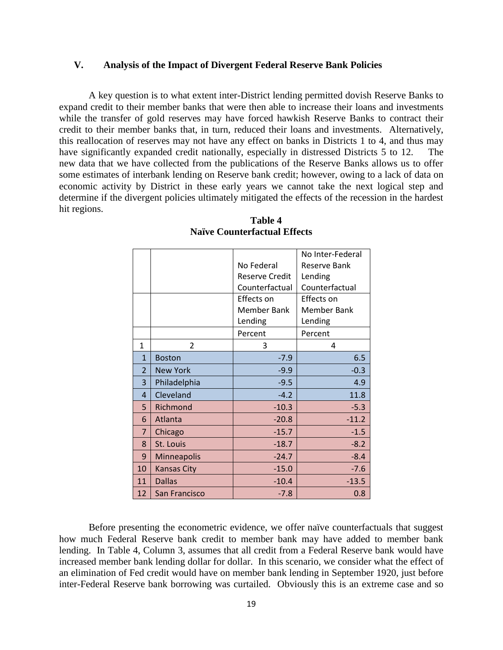### **V. Analysis of the Impact of Divergent Federal Reserve Bank Policies**

A key question is to what extent inter-District lending permitted dovish Reserve Banks to expand credit to their member banks that were then able to increase their loans and investments while the transfer of gold reserves may have forced hawkish Reserve Banks to contract their credit to their member banks that, in turn, reduced their loans and investments. Alternatively, this reallocation of reserves may not have any effect on banks in Districts 1 to 4, and thus may have significantly expanded credit nationally, especially in distressed Districts 5 to 12. The new data that we have collected from the publications of the Reserve Banks allows us to offer some estimates of interbank lending on Reserve bank credit; however, owing to a lack of data on economic activity by District in these early years we cannot take the next logical step and determine if the divergent policies ultimately mitigated the effects of the recession in the hardest hit regions.

|                |                    |                    | No Inter-Federal    |
|----------------|--------------------|--------------------|---------------------|
|                |                    | No Federal         | <b>Reserve Bank</b> |
|                |                    | Reserve Credit     | Lending             |
|                |                    | Counterfactual     | Counterfactual      |
|                |                    | Effects on         | Effects on          |
|                |                    | <b>Member Bank</b> | <b>Member Bank</b>  |
|                |                    | Lending            | Lending             |
|                |                    | Percent            | Percent             |
| $\mathbf{1}$   | $\overline{2}$     | 3                  | 4                   |
| $\mathbf{1}$   | <b>Boston</b>      | $-7.9$             | 6.5                 |
| $\overline{2}$ | <b>New York</b>    | $-9.9$             | $-0.3$              |
| 3              | Philadelphia       | $-9.5$             | 4.9                 |
| $\overline{4}$ | Cleveland          | $-4.2$             | 11.8                |
| 5              | Richmond           | $-10.3$            | $-5.3$              |
| 6              | Atlanta            | $-20.8$            | $-11.2$             |
| $\overline{7}$ | Chicago            | $-15.7$            | $-1.5$              |
| 8              | St. Louis          | $-18.7$            | $-8.2$              |
| 9              | Minneapolis        | $-24.7$            | $-8.4$              |
| 10             | <b>Kansas City</b> | $-15.0$            | $-7.6$              |
| 11             | <b>Dallas</b>      | $-10.4$            | $-13.5$             |
| 12             | San Francisco      | $-7.8$             | 0.8                 |

### **Table 4 Naïve Counterfactual Effects**

Before presenting the econometric evidence, we offer naïve counterfactuals that suggest how much Federal Reserve bank credit to member bank may have added to member bank lending. In Table 4, Column 3, assumes that all credit from a Federal Reserve bank would have increased member bank lending dollar for dollar. In this scenario, we consider what the effect of an elimination of Fed credit would have on member bank lending in September 1920, just before inter-Federal Reserve bank borrowing was curtailed. Obviously this is an extreme case and so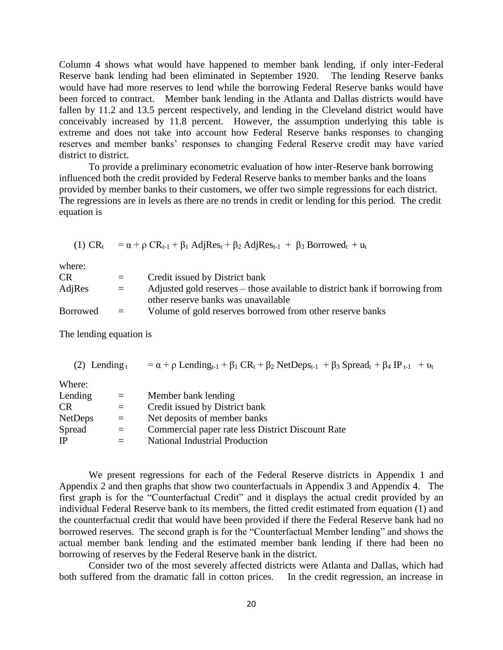Column 4 shows what would have happened to member bank lending, if only inter-Federal Reserve bank lending had been eliminated in September 1920. The lending Reserve banks would have had more reserves to lend while the borrowing Federal Reserve banks would have been forced to contract. Member bank lending in the Atlanta and Dallas districts would have fallen by 11.2 and 13.5 percent respectively, and lending in the Cleveland district would have conceivably increased by 11.8 percent. However, the assumption underlying this table is extreme and does not take into account how Federal Reserve banks responses to changing reserves and member banks' responses to changing Federal Reserve credit may have varied district to district.

To provide a preliminary econometric evaluation of how inter-Reserve bank borrowing influenced both the credit provided by Federal Reserve banks to member banks and the loans provided by member banks to their customers, we offer two simple regressions for each district. The regressions are in levels as there are no trends in credit or lending for this period. The credit equation is

(1)  $CR_t = \alpha + \rho CR_{t-1} + \beta_1 \text{Adj}Res_t + \beta_2 \text{Adj}Res_{t-1} + \beta_3 \text{ Borrowed}_t + u_t$ 

where:

| <b>CR</b> | $=$      | Credit issued by District bank                                              |
|-----------|----------|-----------------------------------------------------------------------------|
| AdjRes    | $=$      | Adjusted gold reserves – those available to district bank if borrowing from |
|           |          | other reserve banks was unavailable                                         |
| Borrowed  | $\equiv$ | Volume of gold reserves borrowed from other reserve banks                   |
|           |          |                                                                             |

The lending equation is

| $(2)$ Lending $t$ |     | $= \alpha + \rho$ Lending <sub>t-1</sub> + $\beta_1$ CR <sub>t</sub> + $\beta_2$ NetDeps <sub>t-1</sub> + $\beta_3$ Spread <sub>t</sub> + $\beta_4$ IP <sub>t-1</sub> + $v_t$ |
|-------------------|-----|-------------------------------------------------------------------------------------------------------------------------------------------------------------------------------|
| Where:            |     |                                                                                                                                                                               |
| Lending           | $=$ | Member bank lending                                                                                                                                                           |
| CR                | $=$ | Credit issued by District bank                                                                                                                                                |
| <b>NetDeps</b>    | $=$ | Net deposits of member banks                                                                                                                                                  |
| Spread            | $=$ | Commercial paper rate less District Discount Rate                                                                                                                             |
| IP                |     | National Industrial Production                                                                                                                                                |
|                   |     |                                                                                                                                                                               |

We present regressions for each of the Federal Reserve districts in Appendix 1 and Appendix 2 and then graphs that show two counterfactuals in Appendix 3 and Appendix 4. The first graph is for the "Counterfactual Credit" and it displays the actual credit provided by an individual Federal Reserve bank to its members, the fitted credit estimated from equation (1) and the counterfactual credit that would have been provided if there the Federal Reserve bank had no borrowed reserves. The second graph is for the "Counterfactual Member lending" and shows the actual member bank lending and the estimated member bank lending if there had been no borrowing of reserves by the Federal Reserve bank in the district.

Consider two of the most severely affected districts were Atlanta and Dallas, which had both suffered from the dramatic fall in cotton prices. In the credit regression, an increase in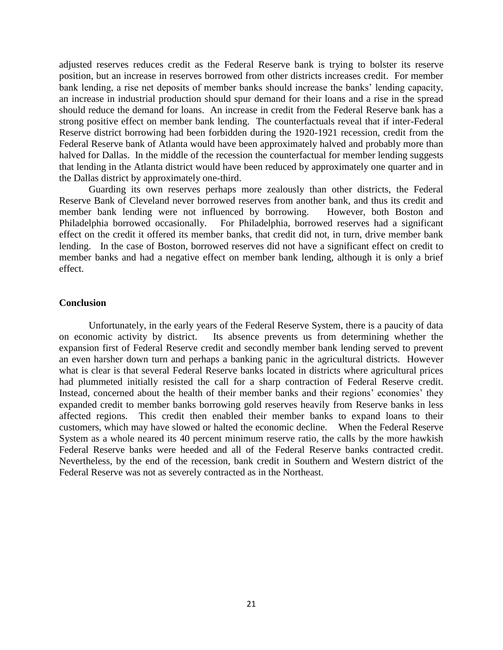adjusted reserves reduces credit as the Federal Reserve bank is trying to bolster its reserve position, but an increase in reserves borrowed from other districts increases credit. For member bank lending, a rise net deposits of member banks should increase the banks' lending capacity, an increase in industrial production should spur demand for their loans and a rise in the spread should reduce the demand for loans. An increase in credit from the Federal Reserve bank has a strong positive effect on member bank lending. The counterfactuals reveal that if inter-Federal Reserve district borrowing had been forbidden during the 1920-1921 recession, credit from the Federal Reserve bank of Atlanta would have been approximately halved and probably more than halved for Dallas. In the middle of the recession the counterfactual for member lending suggests that lending in the Atlanta district would have been reduced by approximately one quarter and in the Dallas district by approximately one-third.

Guarding its own reserves perhaps more zealously than other districts, the Federal Reserve Bank of Cleveland never borrowed reserves from another bank, and thus its credit and member bank lending were not influenced by borrowing. However, both Boston and Philadelphia borrowed occasionally. For Philadelphia, borrowed reserves had a significant effect on the credit it offered its member banks, that credit did not, in turn, drive member bank lending. In the case of Boston, borrowed reserves did not have a significant effect on credit to member banks and had a negative effect on member bank lending, although it is only a brief effect.

#### **Conclusion**

Unfortunately, in the early years of the Federal Reserve System, there is a paucity of data on economic activity by district. Its absence prevents us from determining whether the expansion first of Federal Reserve credit and secondly member bank lending served to prevent an even harsher down turn and perhaps a banking panic in the agricultural districts. However what is clear is that several Federal Reserve banks located in districts where agricultural prices had plummeted initially resisted the call for a sharp contraction of Federal Reserve credit. Instead, concerned about the health of their member banks and their regions' economies' they expanded credit to member banks borrowing gold reserves heavily from Reserve banks in less affected regions. This credit then enabled their member banks to expand loans to their customers, which may have slowed or halted the economic decline. When the Federal Reserve System as a whole neared its 40 percent minimum reserve ratio, the calls by the more hawkish Federal Reserve banks were heeded and all of the Federal Reserve banks contracted credit. Nevertheless, by the end of the recession, bank credit in Southern and Western district of the Federal Reserve was not as severely contracted as in the Northeast.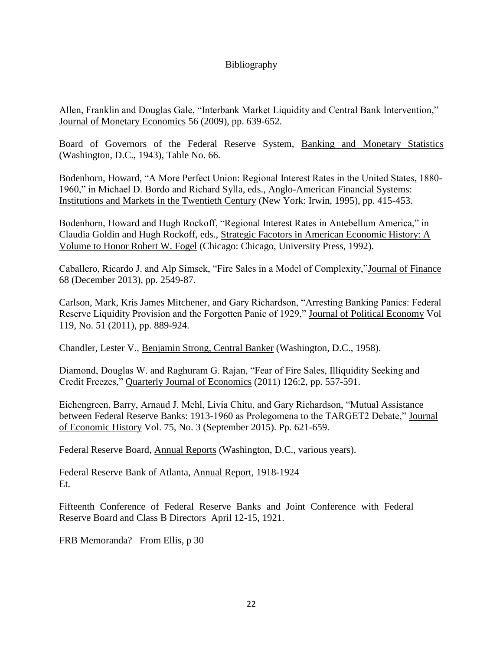## Bibliography

Allen, Franklin and Douglas Gale, "Interbank Market Liquidity and Central Bank Intervention," Journal of Monetary Economics 56 (2009), pp. 639-652.

Board of Governors of the Federal Reserve System, Banking and Monetary Statistics (Washington, D.C., 1943), Table No. 66.

Bodenhorn, Howard, "A More Perfect Union: Regional Interest Rates in the United States, 1880- 1960," in Michael D. Bordo and Richard Sylla, eds., Anglo-American Financial Systems: Institutions and Markets in the Twentieth Century (New York: Irwin, 1995), pp. 415-453.

Bodenhorn, Howard and Hugh Rockoff, "Regional Interest Rates in Antebellum America," in Claudia Goldin and Hugh Rockoff, eds., Strategic Facotors in American Economic History: A Volume to Honor Robert W. Fogel (Chicago: Chicago, University Press, 1992).

Caballero, Ricardo J. and Alp Simsek, "Fire Sales in a Model of Complexity,"Journal of Finance 68 (December 2013), pp. 2549-87.

Carlson, Mark, Kris James Mitchener, and Gary Richardson, "Arresting Banking Panics: Federal Reserve Liquidity Provision and the Forgotten Panic of 1929," Journal of Political Economy Vol 119, No. 51 (2011), pp. 889-924.

Chandler, Lester V., Benjamin Strong, Central Banker (Washington, D.C., 1958).

Diamond, Douglas W. and Raghuram G. Rajan, "Fear of Fire Sales, Illiquidity Seeking and Credit Freezes," Quarterly Journal of Economics (2011) 126:2, pp. 557-591.

Eichengreen, Barry, Arnaud J. Mehl, Livia Chitu, and Gary Richardson, "Mutual Assistance between Federal Reserve Banks: 1913-1960 as Prolegomena to the TARGET2 Debate," Journal of Economic History Vol. 75, No. 3 (September 2015). Pp. 621-659.

Federal Reserve Board, Annual Reports (Washington, D.C., various years).

Federal Reserve Bank of Atlanta, Annual Report, 1918-1924 Et.

Fifteenth Conference of Federal Reserve Banks and Joint Conference with Federal Reserve Board and Class B Directors April 12-15, 1921.

FRB Memoranda? From Ellis, p 30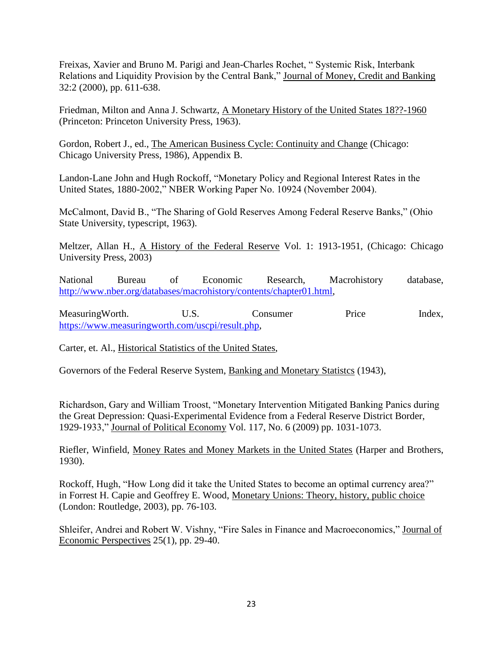Freixas, Xavier and Bruno M. Parigi and Jean-Charles Rochet, " Systemic Risk, Interbank Relations and Liquidity Provision by the Central Bank," Journal of Money, Credit and Banking 32:2 (2000), pp. 611-638.

Friedman, Milton and Anna J. Schwartz, A Monetary History of the United States 18??-1960 (Princeton: Princeton University Press, 1963).

Gordon, Robert J., ed., The American Business Cycle: Continuity and Change (Chicago: Chicago University Press, 1986), Appendix B.

Landon-Lane John and Hugh Rockoff, "Monetary Policy and Regional Interest Rates in the United States, 1880-2002," NBER Working Paper No. 10924 (November 2004).

McCalmont, David B., "The Sharing of Gold Reserves Among Federal Reserve Banks," (Ohio State University, typescript, 1963).

Meltzer, Allan H., A History of the Federal Reserve Vol. 1: 1913-1951, (Chicago: Chicago University Press, 2003)

National Bureau of Economic Research, Macrohistory database, [http://www.nber.org/databases/macrohistory/contents/chapter01.html,](http://www.nber.org/databases/macrohistory/contents/chapter01.html)

Measuring Worth. U.S. Consumer Price Index, [https://www.measuringworth.com/uscpi/result.php,](https://www.measuringworth.com/uscpi/result.php)

Carter, et. Al., Historical Statistics of the United States,

Governors of the Federal Reserve System, Banking and Monetary Statistcs (1943),

Richardson, Gary and William Troost, "Monetary Intervention Mitigated Banking Panics during the Great Depression: Quasi-Experimental Evidence from a Federal Reserve District Border, 1929-1933," Journal of Political Economy Vol. 117, No. 6 (2009) pp. 1031-1073.

Riefler, Winfield, Money Rates and Money Markets in the United States (Harper and Brothers, 1930).

Rockoff, Hugh, "How Long did it take the United States to become an optimal currency area?" in Forrest H. Capie and Geoffrey E. Wood, Monetary Unions: Theory, history, public choice (London: Routledge, 2003), pp. 76-103.

Shleifer, Andrei and Robert W. Vishny, "Fire Sales in Finance and Macroeconomics," Journal of Economic Perspectives 25(1), pp. 29-40.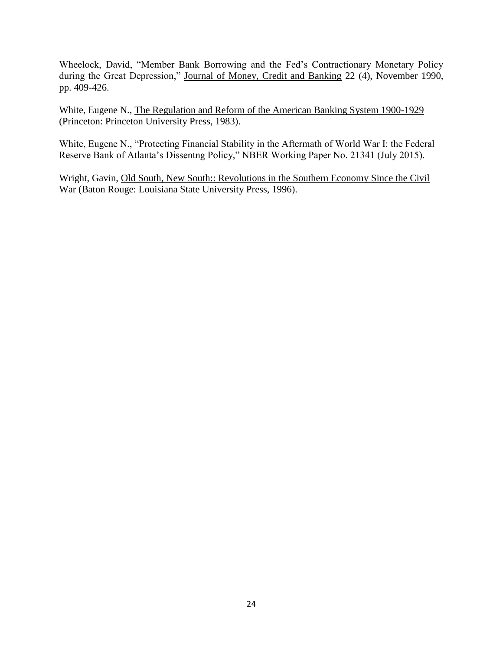Wheelock, David, "Member Bank Borrowing and the Fed's Contractionary Monetary Policy during the Great Depression," Journal of Money, Credit and Banking 22 (4), November 1990, pp. 409-426.

White, Eugene N., The Regulation and Reform of the American Banking System 1900-1929 (Princeton: Princeton University Press, 1983).

White, Eugene N., "Protecting Financial Stability in the Aftermath of World War I: the Federal Reserve Bank of Atlanta's Dissentng Policy," NBER Working Paper No. 21341 (July 2015).

Wright, Gavin, Old South, New South:: Revolutions in the Southern Economy Since the Civil War (Baton Rouge: Louisiana State University Press, 1996).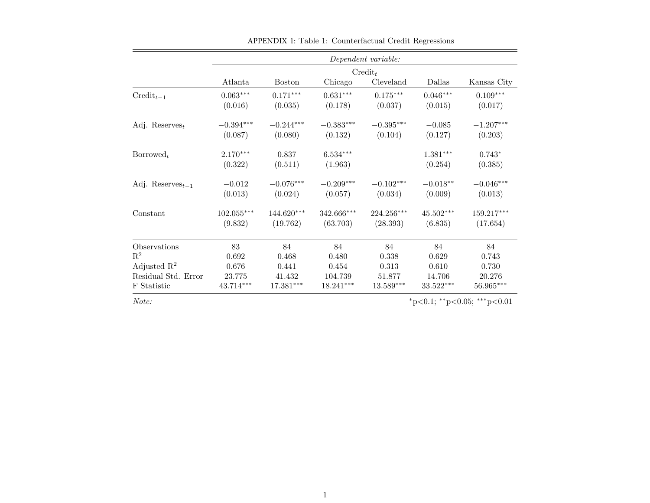|                                           |              |               |              | Dependent variable: |             |             |
|-------------------------------------------|--------------|---------------|--------------|---------------------|-------------|-------------|
|                                           |              |               |              | $\mathrm{Credit}_t$ |             |             |
|                                           | Atlanta      | <b>Boston</b> | Chicago      | Cleveland           | Dallas      | Kansas City |
| $\mathrm{Credit}_{t-1}$                   | $0.063***$   | $0.171***$    | $0.631***$   | $0.175***$          | $0.046***$  | $0.109***$  |
|                                           | (0.016)      | (0.035)       | (0.178)      | (0.037)             | (0.015)     | (0.017)     |
| Adj. Reserves <sub>t</sub>                | $-0.394***$  | $-0.244***$   | $-0.383***$  | $-0.395***$         | $-0.085$    | $-1.207***$ |
|                                           | (0.087)      | (0.080)       | (0.132)      | (0.104)             | (0.127)     | (0.203)     |
| $\text{Borrowed}_t$                       | $2.170***$   | 0.837         | $6.534***$   |                     | $1.381***$  | $0.743*$    |
|                                           | (0.322)      | (0.511)       | (1.963)      |                     | (0.254)     | (0.385)     |
| Adj. Reserves <sub><math>t-1</math></sub> | $-0.012$     | $-0.076***$   | $-0.209***$  | $-0.102***$         | $-0.018**$  | $-0.046***$ |
|                                           | (0.013)      | (0.024)       | (0.057)      | (0.034)             | (0.009)     | (0.013)     |
| Constant                                  | $102.055***$ | $144.620***$  | $342.666***$ | $224.256***$        | $45.502***$ | 159.217***  |
|                                           | (9.832)      | (19.762)      | (63.703)     | (28.393)            | (6.835)     | (17.654)    |
| Observations                              | 83           | 84            | 84           | 84                  | 84          | 84          |
| $\mathbb{R}^2$                            | 0.692        | 0.468         | 0.480        | 0.338               | 0.629       | 0.743       |
| Adjusted $\mathbb{R}^2$                   | 0.676        | 0.441         | 0.454        | 0.313               | 0.610       | 0.730       |
| Residual Std. Error                       | 23.775       | 41.432        | 104.739      | 51.877              | 14.706      | 20.276      |
| F Statistic                               | 43.714***    | $17.381***$   | $18.241***$  | $13.589***$         | $33.522***$ | 56.965***   |

APPENDIX 1: Table 1: Counterfactual Credit Regressions

 $Note:$   $*_{p<0.1; *_{p<0.05; * * *_{p<0.01}}$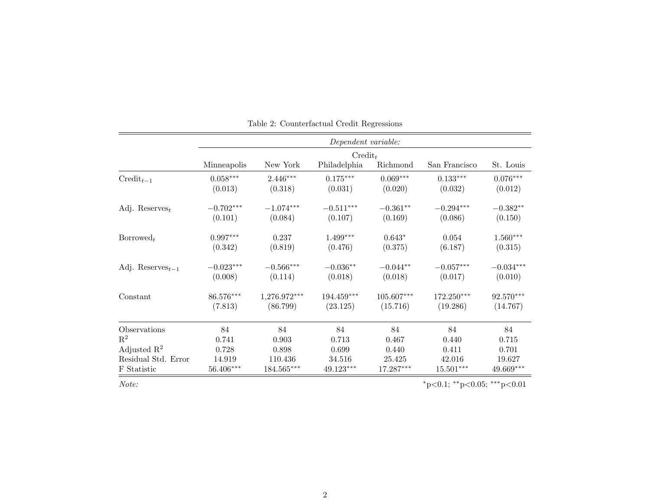|                                           | Dependent variable: |                |                     |              |                             |                        |  |  |
|-------------------------------------------|---------------------|----------------|---------------------|--------------|-----------------------------|------------------------|--|--|
|                                           |                     |                | $\mathrm{Credit}_t$ |              |                             |                        |  |  |
|                                           | Minneapolis         | New York       | Philadelphia        | Richmond     | San Francisco               | St. Louis              |  |  |
| $\mathrm{Credit}_{t-1}$                   | $0.058***$          | $2.446***$     | $0.175***$          | $0.069***$   | $0.133***$                  | $0.076^{\ast\ast\ast}$ |  |  |
|                                           | (0.013)             | (0.318)        | (0.031)             | (0.020)      | (0.032)                     | (0.012)                |  |  |
| Adj. Reserves <sub>t</sub>                | $-0.702***$         | $-1.074***$    | $-0.511***$         | $-0.361**$   | $-0.294***$                 | $-0.382**$             |  |  |
|                                           | (0.101)             | (0.084)        | (0.107)             | (0.169)      | (0.086)                     | (0.150)                |  |  |
| $\text{Borrowed}_t$                       | $0.997***$          | 0.237          | $1.499***$          | $0.643*$     | 0.054                       | $1.560***$             |  |  |
|                                           | (0.342)             | (0.819)        | (0.476)             | (0.375)      | (6.187)                     | (0.315)                |  |  |
| Adj. Reserves <sub><math>t-1</math></sub> | $-0.023***$         | $-0.566***$    | $-0.036**$          | $-0.044**$   | $-0.057***$                 | $-0.034***$            |  |  |
|                                           | (0.008)             | (0.114)        | (0.018)             | (0.018)      | (0.017)                     | (0.010)                |  |  |
| Constant                                  | 86.576***           | $1,276.972***$ | $194.459***$        | $105.607***$ | 172.250***                  | 92.570***              |  |  |
|                                           | (7.813)             | (86.799)       | (23.125)            | (15.716)     | (19.286)                    | (14.767)               |  |  |
| Observations                              | 84                  | 84             | 84                  | 84           | 84                          | 84                     |  |  |
| $\mathbf{R}^2$                            | 0.741               | 0.903          | 0.713               | 0.467        | 0.440                       | 0.715                  |  |  |
| Adjusted $\mathbb{R}^2$                   | 0.728               | 0.898          | 0.699               | 0.440        | 0.411                       | 0.701                  |  |  |
| Residual Std. Error                       | 14.919              | 110.436        | 34.516              | 25.425       | 42.016                      | 19.627                 |  |  |
| F Statistic                               | $56.406***$         | 184.565***     | 49.123***           | 17.287***    | $15.501***$                 | 49.669***              |  |  |
| Note:                                     |                     |                |                     |              | *p<0.1; **p<0.05; ***p<0.01 |                        |  |  |

Table 2: Counterfactual Credit Regressions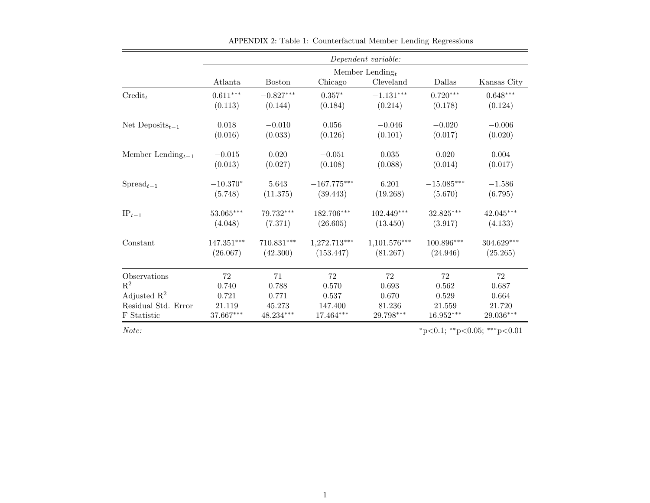|                                          |                          |               |                           | Dependent variable: |                          |                             |
|------------------------------------------|--------------------------|---------------|---------------------------|---------------------|--------------------------|-----------------------------|
|                                          |                          |               |                           | Member Lending $_t$ |                          |                             |
|                                          | Atlanta                  | <b>Boston</b> | Chicago                   | Cleveland           | Dallas                   | Kansas City                 |
| $\mathrm{Credit}_t$                      | $0.611***$               | $-0.827***$   | $0.357*$                  | $-1.131***$         | $0.720***$               | $0.648***$                  |
|                                          | (0.113)                  | (0.144)       | (0.184)                   | (0.214)             | (0.178)                  | (0.124)                     |
| Net Deposits <sub><math>t-1</math></sub> | 0.018                    | $-0.010$      | 0.056                     | $-0.046$            | $-0.020$                 | $-0.006$                    |
|                                          | (0.016)                  | (0.033)       | (0.126)                   | (0.101)             | (0.017)                  | (0.020)                     |
| Member Lending $_{t-1}$                  | $-0.015$                 | 0.020         | $-0.051$                  | 0.035               | 0.020                    | 0.004                       |
|                                          | (0.013)                  | (0.027)       | (0.108)                   | (0.088)             | (0.014)                  | (0.017)                     |
| $\text{Spread}_{t-1}$                    | $-10.370*$               | 5.643         | $-167.775^{\ast\ast\ast}$ | 6.201               | $-15.085^{\ast\ast\ast}$ | $-1.586$                    |
|                                          | (5.748)                  | (11.375)      | (39.443)                  | (19.268)            | (5.670)                  | (6.795)                     |
| $IP_{t-1}$                               | $53.065***$              | 79.732***     | $182.706***$              | $102.449***$        | 32.825***                | $42.045***$                 |
|                                          | (4.048)                  | (7.371)       | (26.605)                  | (13.450)            | (3.917)                  | (4.133)                     |
| Constant                                 | $147.351^{\ast\ast\ast}$ | $710.831***$  | 1,272.713***              | $1,101.576***$      | $100.896***$             | 304.629***                  |
|                                          | (26.067)                 | (42.300)      | (153.447)                 | (81.267)            | (24.946)                 | (25.265)                    |
| Observations                             | 72                       | 71            | 72                        | 72                  | 72                       | 72                          |
| $\mathbf{R}^2$                           | 0.740                    | 0.788         | 0.570                     | 0.693               | 0.562                    | 0.687                       |
| Adjusted $\mathbb{R}^2$                  | 0.721                    | 0.771         | 0.537                     | 0.670               | 0.529                    | 0.664                       |
| Residual Std. Error                      | 21.119                   | 45.273        | 147.400                   | 81.236              | 21.559                   | 21.720                      |
| F Statistic                              | $37.667***$              | $48.234***$   | $17.464^{\ast\ast\ast}$   | $29.798***$         | $16.952***$              | $29.036***$                 |
| Note:                                    |                          |               |                           |                     |                          | *p<0.1; **p<0.05; ***p<0.01 |

APPENDIX 2: Table 1: Counterfactual Member Lending Regressions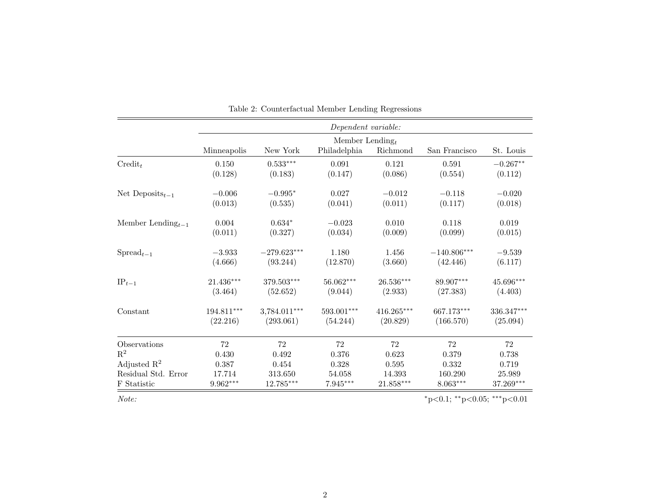|                                          | $Dependent\ variable:$ |                         |                     |              |                                         |            |  |  |  |
|------------------------------------------|------------------------|-------------------------|---------------------|--------------|-----------------------------------------|------------|--|--|--|
|                                          |                        |                         | Member Lending $_t$ |              |                                         |            |  |  |  |
|                                          | Minneapolis            | New York                | Philadelphia        | Richmond     | San Francisco                           | St. Louis  |  |  |  |
| $\mathrm{Credit}_t$                      | 0.150                  | $0.533***$              | 0.091               | 0.121        | 0.591                                   | $-0.267**$ |  |  |  |
|                                          | (0.128)                | (0.183)                 | (0.147)             | (0.086)      | (0.554)                                 | (0.112)    |  |  |  |
| Net Deposits <sub><math>t-1</math></sub> | $-0.006$               | $-0.995*$               | 0.027               | $-0.012$     | $-0.118$                                | $-0.020$   |  |  |  |
|                                          | (0.013)                | (0.535)                 | (0.041)             | (0.011)      | (0.117)                                 | (0.018)    |  |  |  |
| Member Lending $_{t-1}$                  | 0.004                  | $0.634*$                | $-0.023$            | 0.010        | 0.118                                   | 0.019      |  |  |  |
|                                          | (0.011)                | (0.327)                 | (0.034)             | (0.009)      | (0.099)                                 | (0.015)    |  |  |  |
| $\text{Spread}_{t-1}$                    | $-3.933$               | $-279.623***$           | 1.180               | 1.456        | $-140.806***$                           | $-9.539$   |  |  |  |
|                                          | (4.666)                | (93.244)                | (12.870)            | (3.660)      | (42.446)                                | (6.117)    |  |  |  |
| $IP_{t-1}$                               | $21.436***$            | 379.503***              | $56.062***$         | 26.536***    | 89.907***                               | 45.696***  |  |  |  |
|                                          | (3.464)                | (52.652)                | (9.044)             | (2.933)      | (27.383)                                | (4.403)    |  |  |  |
| Constant                                 | 194.811***             | 3,784.011***            | $593.001***$        | $416.265***$ | 667.173***                              | 336.347*** |  |  |  |
|                                          | (22.216)               | (293.061)               | (54.244)            | (20.829)     | (166.570)                               | (25.094)   |  |  |  |
| Observations                             | 72                     | 72                      | 72                  | 72           | 72                                      | 72         |  |  |  |
| $\mathbf{R}^2$                           | 0.430                  | 0.492                   | 0.376               | 0.623        | 0.379                                   | 0.738      |  |  |  |
| Adjusted $\mathbb{R}^2$                  | 0.387                  | 0.454                   | 0.328               | 0.595        | 0.332                                   | 0.719      |  |  |  |
| Residual Std. Error                      | 17.714                 | 313.650                 | 54.058              | 14.393       | 160.290                                 | 25.989     |  |  |  |
| F Statistic                              | $9.962***$             | $12.785^{\ast\ast\ast}$ | $7.945***$          | $21.858***$  | $8.063***$                              | 37.269***  |  |  |  |
| Note:                                    |                        |                         |                     |              | $*_{p<0.1;}$ $*_{p<0.05;}$ $*_{p<0.01}$ |            |  |  |  |

Table 2: Counterfactual Member Lending Regressions

 $\overline{\phantom{a}}$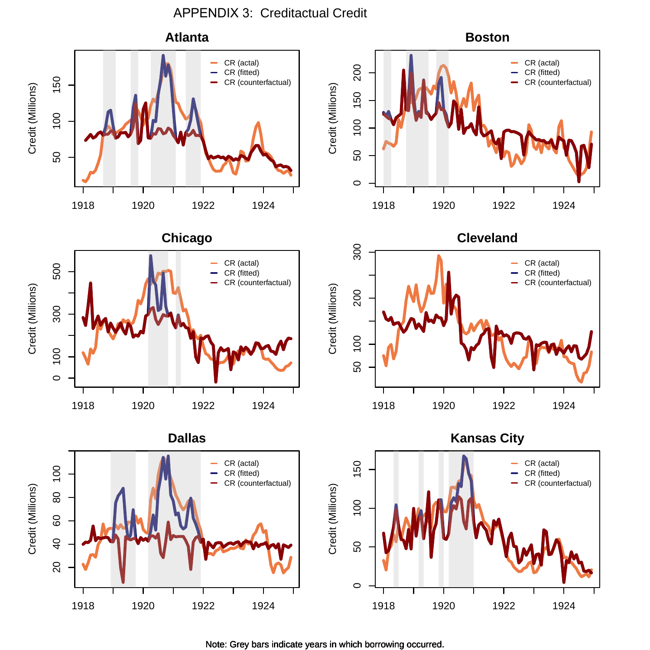APPENDIX 3: Creditactual Credit

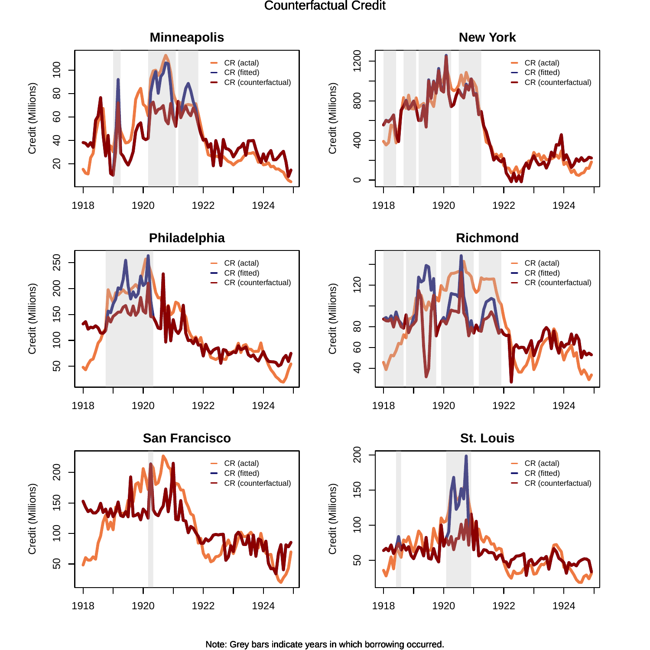#### Counterfactual Credit

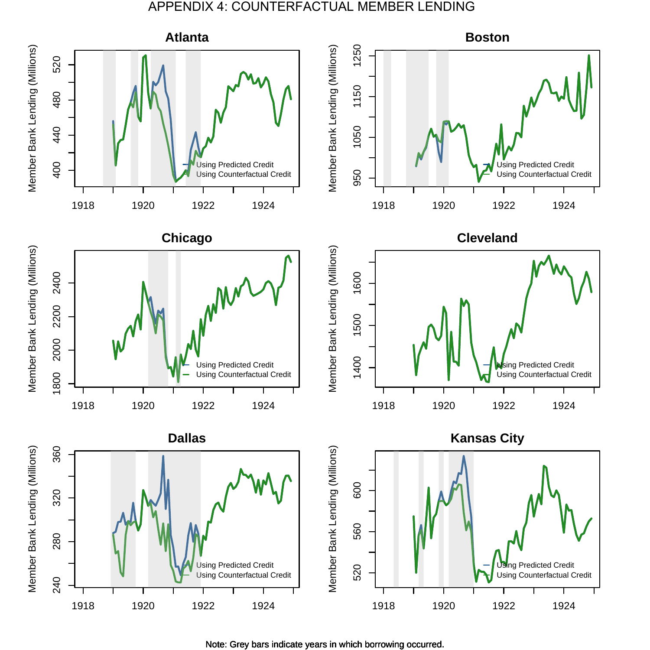#### APPENDIX 4: COUNTERFACTUAL MEMBER LENDING